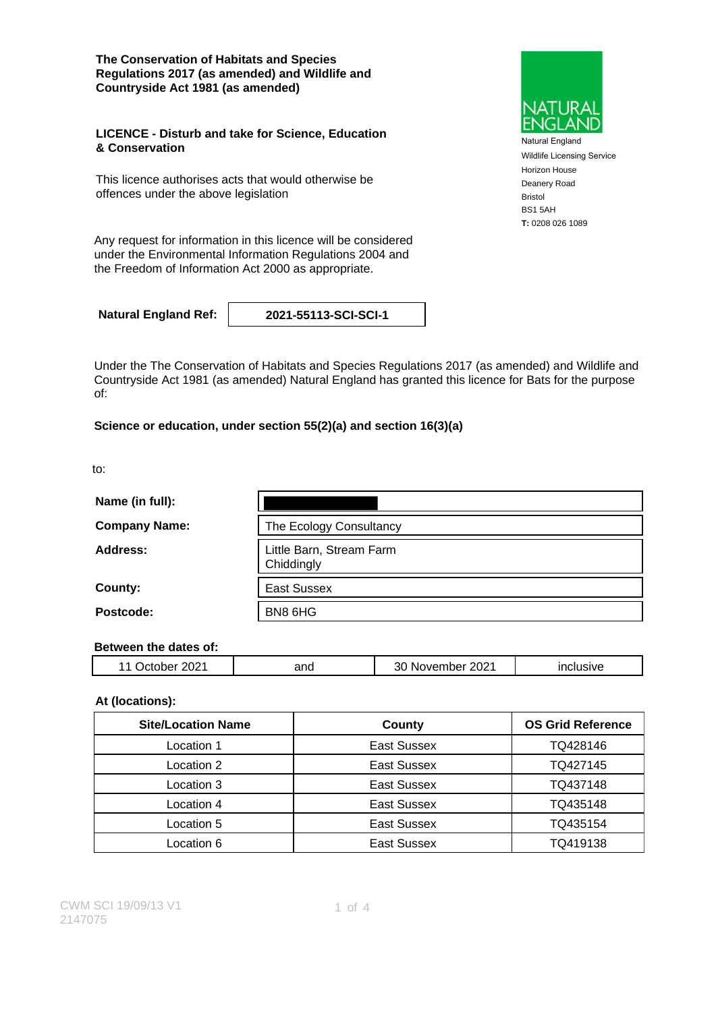**The Conservation of Habitats and Species Regulations 2017 (as amended) and Wildlife and Countryside Act 1981 (as amended)**

### **LICENCE - Disturb and take for Science, Education & Conservation**

This licence authorises acts that would otherwise be offences under the above legislation

Any request for information in this licence will be considered under the Environmental Information Regulations 2004 and the Freedom of Information Act 2000 as appropriate.

**Natural England Ref: 2021-55113-SCI-SCI-1**

Under the The Conservation of Habitats and Species Regulations 2017 (as amended) and Wildlife and Countryside Act 1981 (as amended) Natural England has granted this licence for Bats for the purpose of:

### **Science or education, under section 55(2)(a) and section 16(3)(a)**

to:

| Name (in full):      |                                        |  |  |  |
|----------------------|----------------------------------------|--|--|--|
| <b>Company Name:</b> | The Ecology Consultancy                |  |  |  |
| Address:             | Little Barn, Stream Farm<br>Chiddingly |  |  |  |
| County:              | <b>East Sussex</b>                     |  |  |  |
| Postcode:            | BN8 6HG                                |  |  |  |

### **Between the dates of:**

| $\sim$ $\sim$<br>$\mathbf{v}$<br>,,<br>7U∠.<br>_____ | and | 2021<br>⊶ د<br>∶ ∢د.<br>.<br>_____ |  |
|------------------------------------------------------|-----|------------------------------------|--|
|                                                      |     |                                    |  |

### **At (locations):**

| <b>Site/Location Name</b> | County      | <b>OS Grid Reference</b> |  |
|---------------------------|-------------|--------------------------|--|
| Location 1                | East Sussex | TQ428146                 |  |
| Location 2                | East Sussex | TQ427145                 |  |
| Location 3                | East Sussex | TQ437148                 |  |
| Location 4                | East Sussex | TQ435148                 |  |
| Location 5                | East Sussex | TQ435154                 |  |
| Location 6                | East Sussex | TQ419138                 |  |



Natural England Wildlife Licensing Service Horizon House Deanery Road Bristol BS1 5AH **T:** 0208 026 1089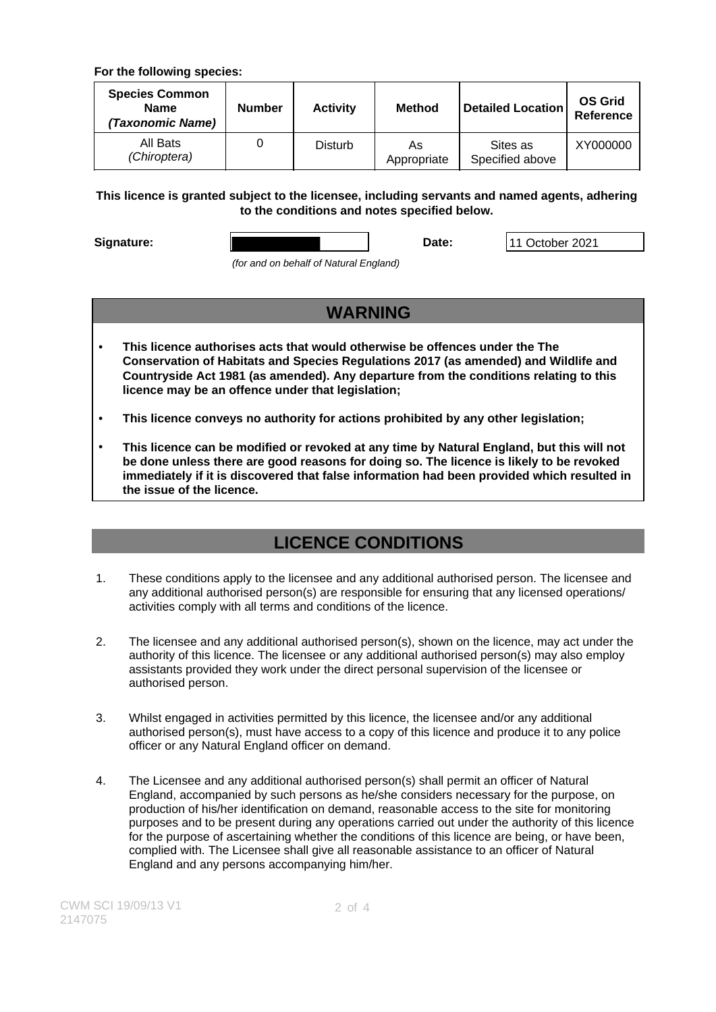### **For the following species:**

| <b>Species Common</b><br><b>Name</b><br>(Taxonomic Name) | <b>Number</b> | <b>Activity</b> | <b>Method</b>     | <b>Detailed Location</b>    | <b>OS Grid</b><br>Reference |
|----------------------------------------------------------|---------------|-----------------|-------------------|-----------------------------|-----------------------------|
| All Bats<br>(Chiroptera)                                 |               | <b>Disturb</b>  | As<br>Appropriate | Sites as<br>Specified above | XY000000                    |

### **This licence is granted subject to the licensee, including servants and named agents, adhering to the conditions and notes specified below.**

**Signature: Date:** 11 October 2021

(for and on behalf of Natural England)

# **WARNING**

- **This licence authorises acts that would otherwise be offences under the The Conservation of Habitats and Species Regulations 2017 (as amended) and Wildlife and Countryside Act 1981 (as amended). Any departure from the conditions relating to this licence may be an offence under that legislation;**
- **This licence conveys no authority for actions prohibited by any other legislation;**
- **This licence can be modified or revoked at any time by Natural England, but this will not be done unless there are good reasons for doing so. The licence is likely to be revoked immediately if it is discovered that false information had been provided which resulted in the issue of the licence.**

# **LICENCE CONDITIONS**

- 1. These conditions apply to the licensee and any additional authorised person. The licensee and any additional authorised person(s) are responsible for ensuring that any licensed operations/ activities comply with all terms and conditions of the licence.
- 2. The licensee and any additional authorised person(s), shown on the licence, may act under the authority of this licence. The licensee or any additional authorised person(s) may also employ assistants provided they work under the direct personal supervision of the licensee or authorised person.
- 3. Whilst engaged in activities permitted by this licence, the licensee and/or any additional authorised person(s), must have access to a copy of this licence and produce it to any police officer or any Natural England officer on demand.
- 4. The Licensee and any additional authorised person(s) shall permit an officer of Natural England, accompanied by such persons as he/she considers necessary for the purpose, on production of his/her identification on demand, reasonable access to the site for monitoring purposes and to be present during any operations carried out under the authority of this licence for the purpose of ascertaining whether the conditions of this licence are being, or have been, complied with. The Licensee shall give all reasonable assistance to an officer of Natural England and any persons accompanying him/her.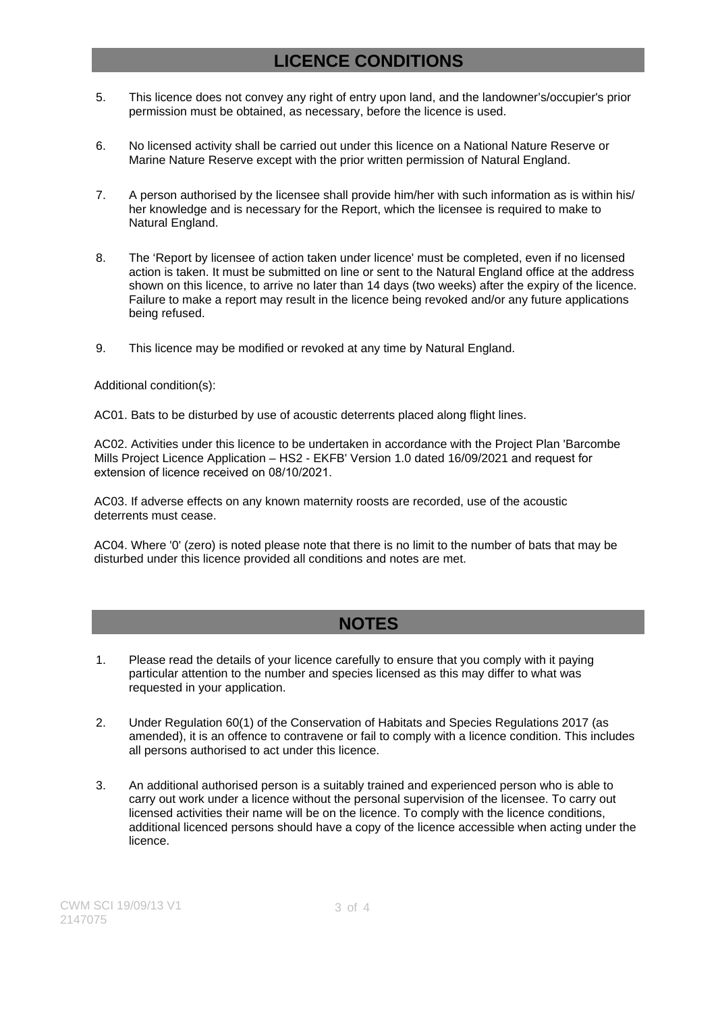## **LICENCE CONDITIONS**

- 5. This licence does not convey any right of entry upon land, and the landowner's/occupier's prior permission must be obtained, as necessary, before the licence is used.
- 6. No licensed activity shall be carried out under this licence on a National Nature Reserve or Marine Nature Reserve except with the prior written permission of Natural England.
- 7. A person authorised by the licensee shall provide him/her with such information as is within his/ her knowledge and is necessary for the Report, which the licensee is required to make to Natural England.
- 8. The 'Report by licensee of action taken under licence' must be completed, even if no licensed action is taken. It must be submitted on line or sent to the Natural England office at the address shown on this licence, to arrive no later than 14 days (two weeks) after the expiry of the licence. Failure to make a report may result in the licence being revoked and/or any future applications being refused.
- 9. This licence may be modified or revoked at any time by Natural England.

### Additional condition(s):

AC01. Bats to be disturbed by use of acoustic deterrents placed along flight lines.

AC02. Activities under this licence to be undertaken in accordance with the Project Plan 'Barcombe Mills Project Licence Application – HS2 - EKFB' Version 1.0 dated 16/09/2021 and request for extension of licence received on 08/10/2021.

AC03. If adverse effects on any known maternity roosts are recorded, use of the acoustic deterrents must cease.

AC04. Where '0' (zero) is noted please note that there is no limit to the number of bats that may be disturbed under this licence provided all conditions and notes are met.

## **NOTES**

- 1. Please read the details of your licence carefully to ensure that you comply with it paying particular attention to the number and species licensed as this may differ to what was requested in your application.
- 2. Under Regulation 60(1) of the Conservation of Habitats and Species Regulations 2017 (as amended), it is an offence to contravene or fail to comply with a licence condition. This includes all persons authorised to act under this licence.
- 3. An additional authorised person is a suitably trained and experienced person who is able to carry out work under a licence without the personal supervision of the licensee. To carry out licensed activities their name will be on the licence. To comply with the licence conditions, additional licenced persons should have a copy of the licence accessible when acting under the licence.